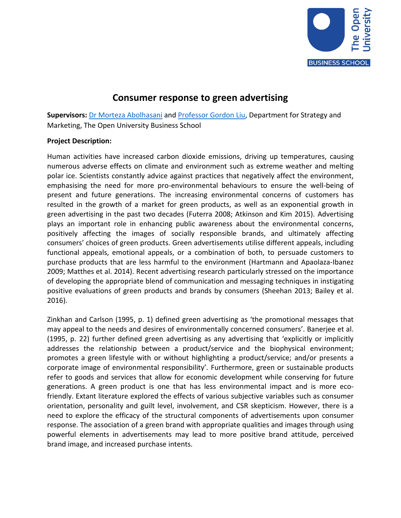

## **Consumer response to green advertising**

**Supervisors:** [Dr Morteza](http://business-school.open.ac.uk/people/ma9282) Abolhasani an[d Professor Gordon Liu,](http://business-school.open.ac.uk/people/cgl65) Department for Strategy and Marketing, The Open University Business School

## **Project Description:**

Human activities have increased carbon dioxide emissions, driving up temperatures, causing numerous adverse effects on climate and environment such as extreme weather and melting polar ice. Scientists constantly advice against practices that negatively affect the environment, emphasising the need for more pro-environmental behaviours to ensure the well-being of present and future generations. The increasing environmental concerns of customers has resulted in the growth of a market for green products, as well as an exponential growth in green advertising in the past two decades (Futerra 2008; Atkinson and Kim 2015). Advertising plays an important role in enhancing public awareness about the environmental concerns, positively affecting the images of socially responsible brands, and ultimately affecting consumers' choices of green products. Green advertisements utilise different appeals, including functional appeals, emotional appeals, or a combination of both, to persuade customers to purchase products that are less harmful to the environment (Hartmann and Apaolaza-Ibanez 2009; Matthes et al. 2014). Recent advertising research particularly stressed on the importance of developing the appropriate blend of communication and messaging techniques in instigating positive evaluations of green products and brands by consumers (Sheehan 2013; Bailey et al. 2016).

Zinkhan and Carlson (1995, p. 1) defined green advertising as 'the promotional messages that may appeal to the needs and desires of environmentally concerned consumers'. Banerjee et al. (1995, p. 22) further defined green advertising as any advertising that 'explicitly or implicitly addresses the relationship between a product/service and the biophysical environment; promotes a green lifestyle with or without highlighting a product/service; and/or presents a corporate image of environmental responsibility'. Furthermore, green or sustainable products refer to goods and services that allow for economic development while conserving for future generations. A green product is one that has less environmental impact and is more ecofriendly. Extant literature explored the effects of various subjective variables such as consumer orientation, personality and guilt level, involvement, and CSR skepticism. However, there is a need to explore the efficacy of the structural components of advertisements upon consumer response. The association of a green brand with appropriate qualities and images through using powerful elements in advertisements may lead to more positive brand attitude, perceived brand image, and increased purchase intents.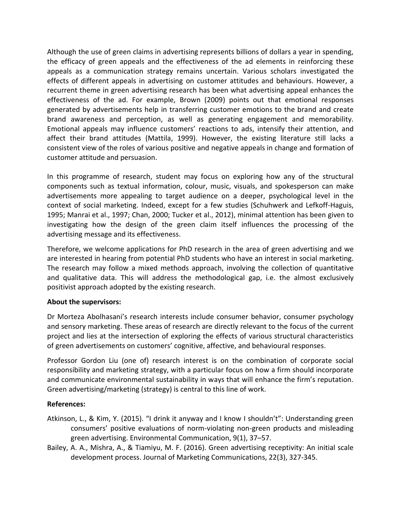Although the use of green claims in advertising represents billions of dollars a year in spending, the efficacy of green appeals and the effectiveness of the ad elements in reinforcing these appeals as a communication strategy remains uncertain. Various scholars investigated the effects of different appeals in advertising on customer attitudes and behaviours. However, a recurrent theme in green advertising research has been what advertising appeal enhances the effectiveness of the ad. For example, Brown (2009) points out that emotional responses generated by advertisements help in transferring customer emotions to the brand and create brand awareness and perception, as well as generating engagement and memorability. Emotional appeals may influence customers' reactions to ads, intensify their attention, and affect their brand attitudes (Mattila, 1999). However, the existing literature still lacks a consistent view of the roles of various positive and negative appeals in change and formation of customer attitude and persuasion.

In this programme of research, student may focus on exploring how any of the structural components such as textual information, colour, music, visuals, and spokesperson can make advertisements more appealing to target audience on a deeper, psychological level in the context of social marketing. Indeed, except for a few studies (Schuhwerk and Lefkoff-Haguis, 1995; Manrai et al., 1997; Chan, 2000; Tucker et al., 2012), minimal attention has been given to investigating how the design of the green claim itself influences the processing of the advertising message and its effectiveness.

Therefore, we welcome applications for PhD research in the area of green advertising and we are interested in hearing from potential PhD students who have an interest in social marketing. The research may follow a mixed methods approach, involving the collection of quantitative and qualitative data. This will address the methodological gap, i.e. the almost exclusively positivist approach adopted by the existing research.

## **About the supervisors:**

Dr Morteza Abolhasani's research interests include consumer behavior, consumer psychology and sensory marketing. These areas of research are directly relevant to the focus of the current project and lies at the intersection of exploring the effects of various structural characteristics of green advertisements on customers' cognitive, affective, and behavioural responses.

Professor Gordon Liu (one of) research interest is on the combination of corporate social responsibility and marketing strategy, with a particular focus on how a firm should incorporate and communicate environmental sustainability in ways that will enhance the firm's reputation. Green advertising/marketing (strategy) is central to this line of work.

## **References:**

- Atkinson, L., & Kim, Y. (2015). "I drink it anyway and I know I shouldn't": Understanding green consumers' positive evaluations of norm-violating non-green products and misleading green advertising. Environmental Communication, 9(1), 37–57.
- Bailey, A. A., Mishra, A., & Tiamiyu, M. F. (2016). Green advertising receptivity: An initial scale development process. Journal of Marketing Communications, 22(3), 327-345.